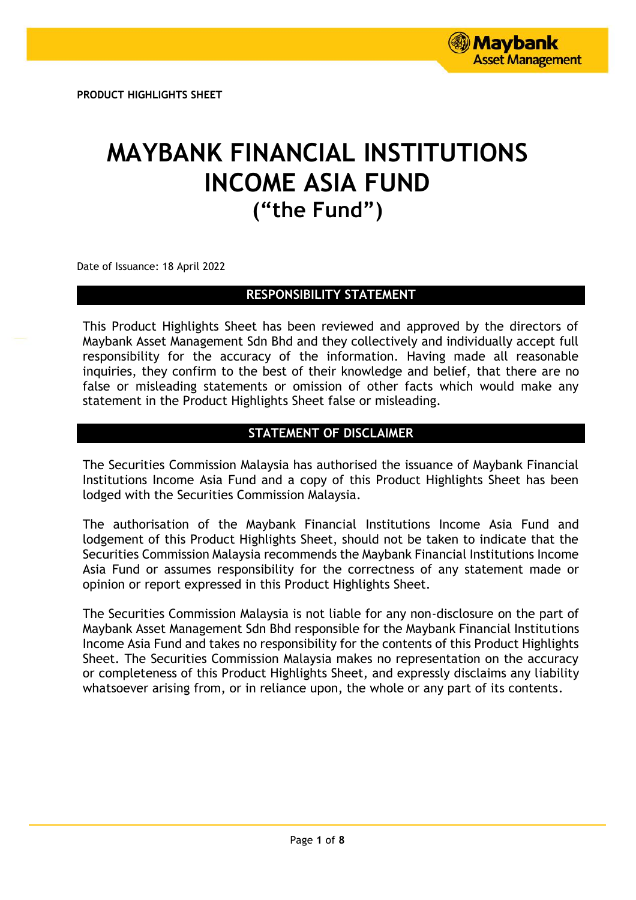# **MAYBANK FINANCIAL INSTITUTIONS INCOME ASIA FUND ("the Fund")**

Date of Issuance: 18 April 2022

# **RESPONSIBILITY STATEMENT**

This Product Highlights Sheet has been reviewed and approved by the directors of Maybank Asset Management Sdn Bhd and they collectively and individually accept full responsibility for the accuracy of the information. Having made all reasonable inquiries, they confirm to the best of their knowledge and belief, that there are no false or misleading statements or omission of other facts which would make any statement in the Product Highlights Sheet false or misleading.

# **STATEMENT OF DISCLAIMER**

The Securities Commission Malaysia has authorised the issuance of Maybank Financial Institutions Income Asia Fund and a copy of this Product Highlights Sheet has been lodged with the Securities Commission Malaysia.

The authorisation of the Maybank Financial Institutions Income Asia Fund and lodgement of this Product Highlights Sheet, should not be taken to indicate that the Securities Commission Malaysia recommends the Maybank Financial Institutions Income Asia Fund or assumes responsibility for the correctness of any statement made or opinion or report expressed in this Product Highlights Sheet.

The Securities Commission Malaysia is not liable for any non-disclosure on the part of Maybank Asset Management Sdn Bhd responsible for the Maybank Financial Institutions Income Asia Fund and takes no responsibility for the contents of this Product Highlights Sheet. The Securities Commission Malaysia makes no representation on the accuracy or completeness of this Product Highlights Sheet, and expressly disclaims any liability whatsoever arising from, or in reliance upon, the whole or any part of its contents.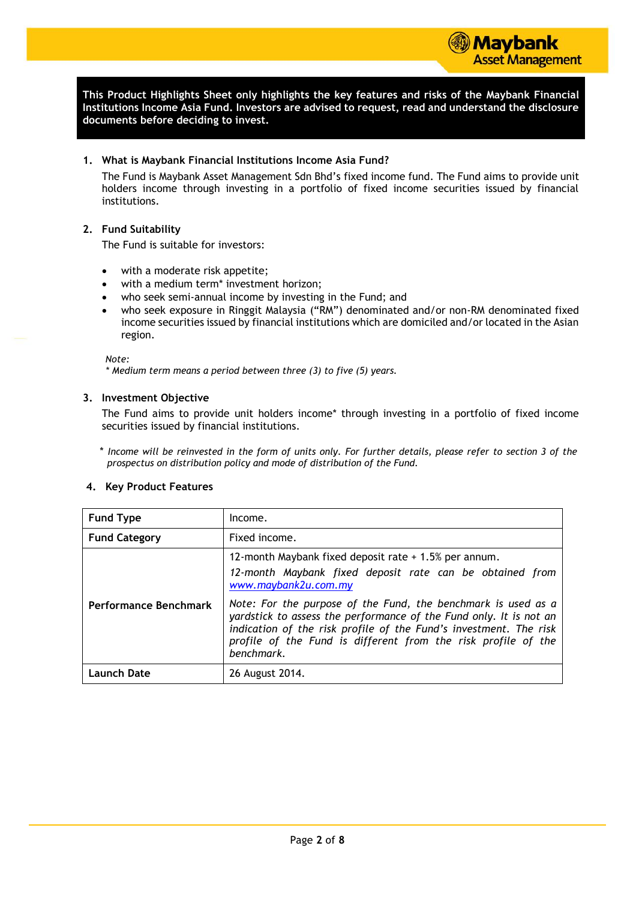**This Product Highlights Sheet only highlights the key features and risks of the Maybank Financial Institutions Income Asia Fund. Investors are advised to request, read and understand the disclosure documents before deciding to invest.**

## **1. What is Maybank Financial Institutions Income Asia Fund?**

The Fund is Maybank Asset Management Sdn Bhd's fixed income fund. The Fund aims to provide unit holders income through investing in a portfolio of fixed income securities issued by financial institutions.

# **2. Fund Suitability**

The Fund is suitable for investors:

- with a moderate risk appetite;
- with a medium term\* investment horizon;
- who seek semi-annual income by investing in the Fund; and
- who seek exposure in Ringgit Malaysia ("RM") denominated and/or non-RM denominated fixed income securities issued by financial institutions which are domiciled and/or located in the Asian region.

#### *Note:*

*\* Medium term means a period between three (3) to five (5) years.* 

## **3. Investment Objective**

The Fund aims to provide unit holders income\* through investing in a portfolio of fixed income securities issued by financial institutions.

\* *Income will be reinvested in the form of units only. For further details, please refer to section 3 of the prospectus on distribution policy and mode of distribution of the Fund.*

#### **4. Key Product Features**

| <b>Fund Type</b>      | Income.                                                                                                                                                                                                                                                                                                                                                                                                                              |  |  |
|-----------------------|--------------------------------------------------------------------------------------------------------------------------------------------------------------------------------------------------------------------------------------------------------------------------------------------------------------------------------------------------------------------------------------------------------------------------------------|--|--|
| <b>Fund Category</b>  | Fixed income.                                                                                                                                                                                                                                                                                                                                                                                                                        |  |  |
| Performance Benchmark | 12-month Maybank fixed deposit rate + 1.5% per annum.<br>12-month Maybank fixed deposit rate can be obtained from<br>www.maybank2u.com.my<br>Note: For the purpose of the Fund, the benchmark is used as a<br>yardstick to assess the performance of the Fund only. It is not an<br>indication of the risk profile of the Fund's investment. The risk<br>profile of the Fund is different from the risk profile of the<br>benchmark. |  |  |
| <b>Launch Date</b>    | 26 August 2014.                                                                                                                                                                                                                                                                                                                                                                                                                      |  |  |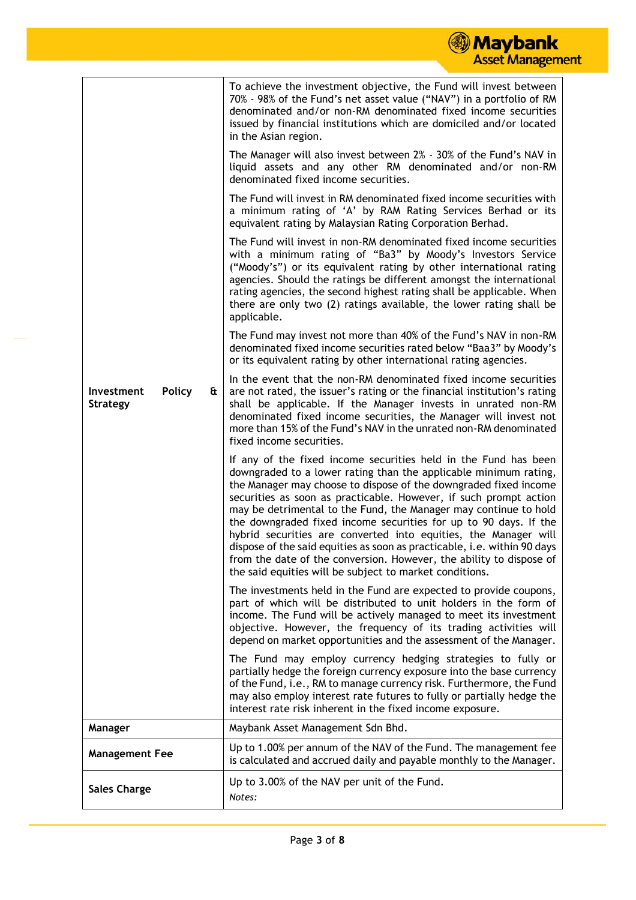|                                                |   | <b>Maybank</b><br><b>Asset Management</b>                                                                                                                                                                                                                                                                                                                                                                                                                                                                                                                                                                                                                                                             |
|------------------------------------------------|---|-------------------------------------------------------------------------------------------------------------------------------------------------------------------------------------------------------------------------------------------------------------------------------------------------------------------------------------------------------------------------------------------------------------------------------------------------------------------------------------------------------------------------------------------------------------------------------------------------------------------------------------------------------------------------------------------------------|
|                                                |   | To achieve the investment objective, the Fund will invest between<br>70% - 98% of the Fund's net asset value ("NAV") in a portfolio of RM<br>denominated and/or non-RM denominated fixed income securities<br>issued by financial institutions which are domiciled and/or located<br>in the Asian region.                                                                                                                                                                                                                                                                                                                                                                                             |
|                                                |   | The Manager will also invest between 2% - 30% of the Fund's NAV in<br>liquid assets and any other RM denominated and/or non-RM<br>denominated fixed income securities.                                                                                                                                                                                                                                                                                                                                                                                                                                                                                                                                |
|                                                |   | The Fund will invest in RM denominated fixed income securities with<br>a minimum rating of 'A' by RAM Rating Services Berhad or its<br>equivalent rating by Malaysian Rating Corporation Berhad.                                                                                                                                                                                                                                                                                                                                                                                                                                                                                                      |
|                                                |   | The Fund will invest in non-RM denominated fixed income securities<br>with a minimum rating of "Ba3" by Moody's Investors Service<br>("Moody's") or its equivalent rating by other international rating<br>agencies. Should the ratings be different amongst the international<br>rating agencies, the second highest rating shall be applicable. When<br>there are only two (2) ratings available, the lower rating shall be<br>applicable.                                                                                                                                                                                                                                                          |
|                                                |   | The Fund may invest not more than 40% of the Fund's NAV in non-RM<br>denominated fixed income securities rated below "Baa3" by Moody's<br>or its equivalent rating by other international rating agencies.                                                                                                                                                                                                                                                                                                                                                                                                                                                                                            |
| Investment<br><b>Policy</b><br><b>Strategy</b> | & | In the event that the non-RM denominated fixed income securities<br>are not rated, the issuer's rating or the financial institution's rating<br>shall be applicable. If the Manager invests in unrated non-RM<br>denominated fixed income securities, the Manager will invest not<br>more than 15% of the Fund's NAV in the unrated non-RM denominated<br>fixed income securities.                                                                                                                                                                                                                                                                                                                    |
|                                                |   | If any of the fixed income securities held in the Fund has been<br>downgraded to a lower rating than the applicable minimum rating,<br>the Manager may choose to dispose of the downgraded fixed income<br>securities as soon as practicable. However, if such prompt action<br>may be detrimental to the Fund, the Manager may continue to hold<br>the downgraded fixed income securities for up to 90 days. If the<br>hybrid securities are converted into equities, the Manager will<br>dispose of the said equities as soon as practicable, i.e. within 90 days<br>from the date of the conversion. However, the ability to dispose of<br>the said equities will be subject to market conditions. |
|                                                |   | The investments held in the Fund are expected to provide coupons,<br>part of which will be distributed to unit holders in the form of<br>income. The Fund will be actively managed to meet its investment<br>objective. However, the frequency of its trading activities will<br>depend on market opportunities and the assessment of the Manager.                                                                                                                                                                                                                                                                                                                                                    |
|                                                |   | The Fund may employ currency hedging strategies to fully or<br>partially hedge the foreign currency exposure into the base currency<br>of the Fund, i.e., RM to manage currency risk. Furthermore, the Fund<br>may also employ interest rate futures to fully or partially hedge the<br>interest rate risk inherent in the fixed income exposure.                                                                                                                                                                                                                                                                                                                                                     |
| Manager                                        |   | Maybank Asset Management Sdn Bhd.                                                                                                                                                                                                                                                                                                                                                                                                                                                                                                                                                                                                                                                                     |
| <b>Management Fee</b>                          |   | Up to 1.00% per annum of the NAV of the Fund. The management fee<br>is calculated and accrued daily and payable monthly to the Manager.                                                                                                                                                                                                                                                                                                                                                                                                                                                                                                                                                               |

Sales Charge Up to 3.00% of the NAV per unit of the Fund.

*Notes:*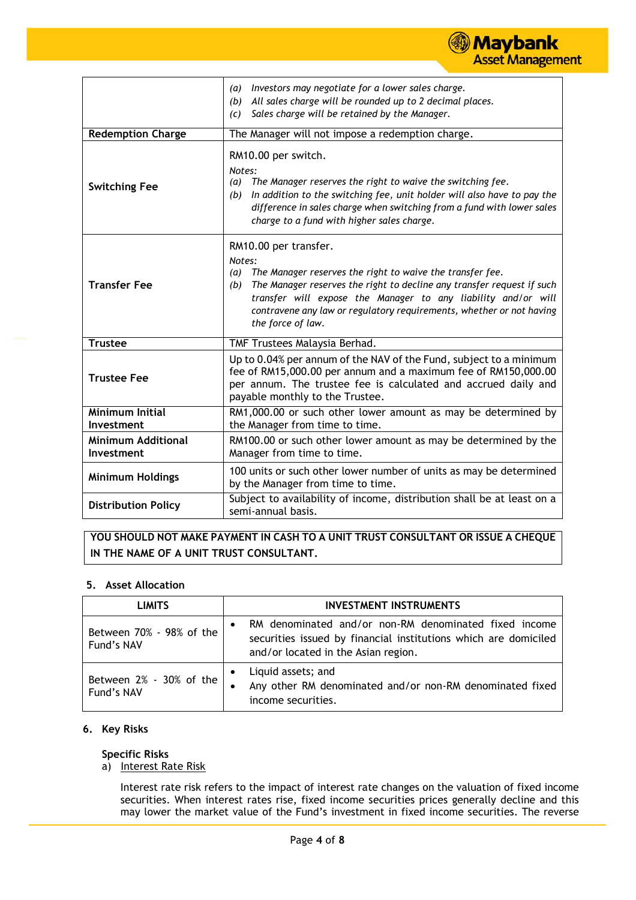#### *(a) Investors may negotiate for a lower sales charge. (b) All sales charge will be rounded up to 2 decimal places. (c) Sales charge will be retained by the Manager.* **Redemption Charge** The Manager will not impose a redemption charge. **Switching Fee** RM10.00 per switch. *Notes: (a) The Manager reserves the right to waive the switching fee. (b) In addition to the switching fee, unit holder will also have to pay the difference in sales charge when switching from a fund with lower sales charge to a fund with higher sales charge.* **Transfer Fee** RM10.00 per transfer. *Notes: (a) The Manager reserves the right to waive the transfer fee. (b) The Manager reserves the right to decline any transfer request if such transfer will expose the Manager to any liability and/or will contravene any law or regulatory requirements, whether or not having the force of law.* **Trustee** Trustees Malaysia Berhad. **Trustee Fee** Up to 0.04% per annum of the NAV of the Fund, subject to a minimum fee of RM15,000.00 per annum and a maximum fee of RM150,000.00 per annum. The trustee fee is calculated and accrued daily and payable monthly to the Trustee. **Minimum Initial Investment** RM1,000.00 or such other lower amount as may be determined by the Manager from time to time. **Minimum Additional Investment** RM100.00 or such other lower amount as may be determined by the Manager from time to time. **Minimum Holdings** 100 units or such other lower number of units as may be determined by the Manager from time to time. **Distribution Policy** Subject to availability of income, distribution shall be at least on a semi-annual basis.

) Maybank

**Asset Management** 

# **YOU SHOULD NOT MAKE PAYMENT IN CASH TO A UNIT TRUST CONSULTANT OR ISSUE A CHEQUE IN THE NAME OF A UNIT TRUST CONSULTANT.**

# **5. Asset Allocation**

| <b>LIMITS</b>                          | <b>INVESTMENT INSTRUMENTS</b>                                                                                                                                   |  |  |  |
|----------------------------------------|-----------------------------------------------------------------------------------------------------------------------------------------------------------------|--|--|--|
| Between 70% - 98% of the<br>Fund's NAV | RM denominated and/or non-RM denominated fixed income<br>securities issued by financial institutions which are domiciled<br>and/or located in the Asian region. |  |  |  |
| Between 2% - 30% of the<br>Fund's NAV  | Liquid assets; and<br>$\bullet$<br>Any other RM denominated and/or non-RM denominated fixed<br>income securities.                                               |  |  |  |

# **6. Key Risks**

# **Specific Risks**

a) Interest Rate Risk

Interest rate risk refers to the impact of interest rate changes on the valuation of fixed income securities. When interest rates rise, fixed income securities prices generally decline and this may lower the market value of the Fund's investment in fixed income securities. The reverse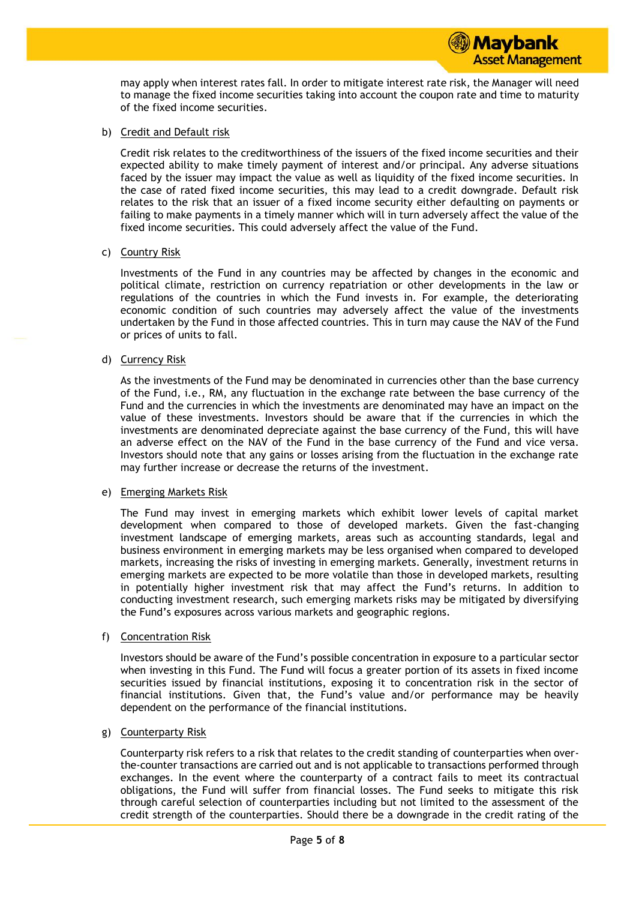may apply when interest rates fall. In order to mitigate interest rate risk, the Manager will need to manage the fixed income securities taking into account the coupon rate and time to maturity of the fixed income securities.

b) Credit and Default risk

Credit risk relates to the creditworthiness of the issuers of the fixed income securities and their expected ability to make timely payment of interest and/or principal. Any adverse situations faced by the issuer may impact the value as well as liquidity of the fixed income securities. In the case of rated fixed income securities, this may lead to a credit downgrade. Default risk relates to the risk that an issuer of a fixed income security either defaulting on payments or failing to make payments in a timely manner which will in turn adversely affect the value of the fixed income securities. This could adversely affect the value of the Fund.

c) Country Risk

Investments of the Fund in any countries may be affected by changes in the economic and political climate, restriction on currency repatriation or other developments in the law or regulations of the countries in which the Fund invests in. For example, the deteriorating economic condition of such countries may adversely affect the value of the investments undertaken by the Fund in those affected countries. This in turn may cause the NAV of the Fund or prices of units to fall.

d) Currency Risk

As the investments of the Fund may be denominated in currencies other than the base currency of the Fund, i.e., RM, any fluctuation in the exchange rate between the base currency of the Fund and the currencies in which the investments are denominated may have an impact on the value of these investments. Investors should be aware that if the currencies in which the investments are denominated depreciate against the base currency of the Fund, this will have an adverse effect on the NAV of the Fund in the base currency of the Fund and vice versa. Investors should note that any gains or losses arising from the fluctuation in the exchange rate may further increase or decrease the returns of the investment.

#### e) Emerging Markets Risk

The Fund may invest in emerging markets which exhibit lower levels of capital market development when compared to those of developed markets. Given the fast-changing investment landscape of emerging markets, areas such as accounting standards, legal and business environment in emerging markets may be less organised when compared to developed markets, increasing the risks of investing in emerging markets. Generally, investment returns in emerging markets are expected to be more volatile than those in developed markets, resulting in potentially higher investment risk that may affect the Fund's returns. In addition to conducting investment research, such emerging markets risks may be mitigated by diversifying the Fund's exposures across various markets and geographic regions.

f) Concentration Risk

Investors should be aware of the Fund's possible concentration in exposure to a particular sector when investing in this Fund. The Fund will focus a greater portion of its assets in fixed income securities issued by financial institutions, exposing it to concentration risk in the sector of financial institutions. Given that, the Fund's value and/or performance may be heavily dependent on the performance of the financial institutions.

## g) Counterparty Risk

Counterparty risk refers to a risk that relates to the credit standing of counterparties when overthe-counter transactions are carried out and is not applicable to transactions performed through exchanges. In the event where the counterparty of a contract fails to meet its contractual obligations, the Fund will suffer from financial losses. The Fund seeks to mitigate this risk through careful selection of counterparties including but not limited to the assessment of the credit strength of the counterparties. Should there be a downgrade in the credit rating of the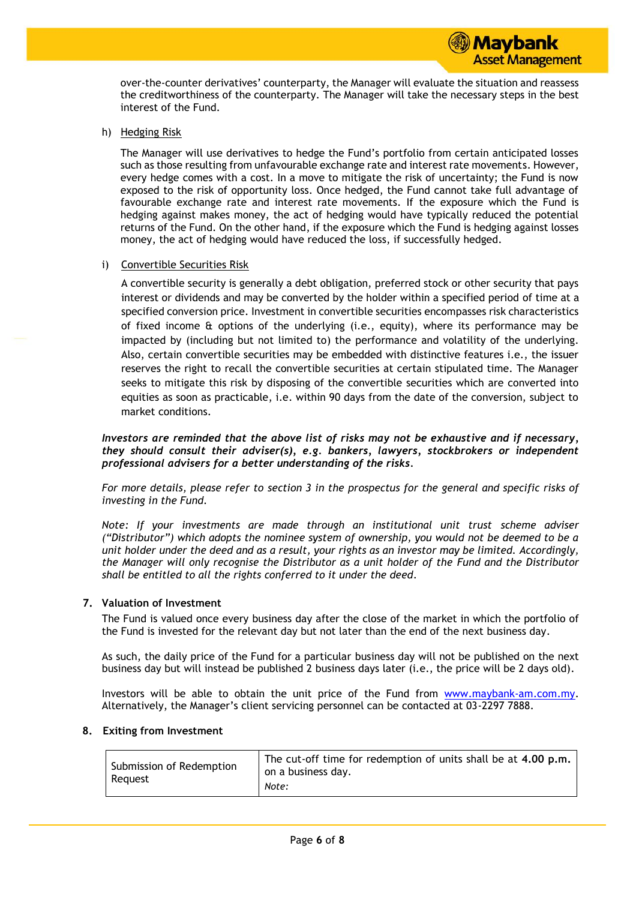over-the-counter derivatives' counterparty, the Manager will evaluate the situation and reassess the creditworthiness of the counterparty. The Manager will take the necessary steps in the best interest of the Fund.

h) Hedging Risk

The Manager will use derivatives to hedge the Fund's portfolio from certain anticipated losses such as those resulting from unfavourable exchange rate and interest rate movements. However, every hedge comes with a cost. In a move to mitigate the risk of uncertainty; the Fund is now exposed to the risk of opportunity loss. Once hedged, the Fund cannot take full advantage of favourable exchange rate and interest rate movements. If the exposure which the Fund is hedging against makes money, the act of hedging would have typically reduced the potential returns of the Fund. On the other hand, if the exposure which the Fund is hedging against losses money, the act of hedging would have reduced the loss, if successfully hedged.

## i) Convertible Securities Risk

A convertible security is generally a debt obligation, preferred stock or other security that pays interest or dividends and may be converted by the holder within a specified period of time at a specified conversion price. Investment in convertible securities encompasses risk characteristics of fixed income & options of the underlying (i.e., equity), where its performance may be impacted by (including but not limited to) the performance and volatility of the underlying. Also, certain convertible securities may be embedded with distinctive features i.e., the issuer reserves the right to recall the convertible securities at certain stipulated time. The Manager seeks to mitigate this risk by disposing of the convertible securities which are converted into equities as soon as practicable, i.e. within 90 days from the date of the conversion, subject to market conditions.

#### *Investors are reminded that the above list of risks may not be exhaustive and if necessary, they should consult their adviser(s), e.g. bankers, lawyers, stockbrokers or independent professional advisers for a better understanding of the risks.*

*For more details, please refer to section 3 in the prospectus for the general and specific risks of investing in the Fund.*

*Note: If your investments are made through an institutional unit trust scheme adviser ("Distributor") which adopts the nominee system of ownership, you would not be deemed to be a unit holder under the deed and as a result, your rights as an investor may be limited. Accordingly, the Manager will only recognise the Distributor as a unit holder of the Fund and the Distributor shall be entitled to all the rights conferred to it under the deed.*

# **7. Valuation of Investment**

The Fund is valued once every business day after the close of the market in which the portfolio of the Fund is invested for the relevant day but not later than the end of the next business day.

As such, the daily price of the Fund for a particular business day will not be published on the next business day but will instead be published 2 business days later (i.e., the price will be 2 days old).

Investors will be able to obtain the unit price of the Fund from [www.maybank-am.com.my.](http://www.maybank-am.com.my/) Alternatively, the Manager's client servicing personnel can be contacted at 03-2297 7888.

#### **8. Exiting from Investment**

| Submission of Redemption<br>Reguest | The cut-off time for redemption of units shall be at 4.00 p.m.<br>on a business day.<br>Note: |
|-------------------------------------|-----------------------------------------------------------------------------------------------|
|-------------------------------------|-----------------------------------------------------------------------------------------------|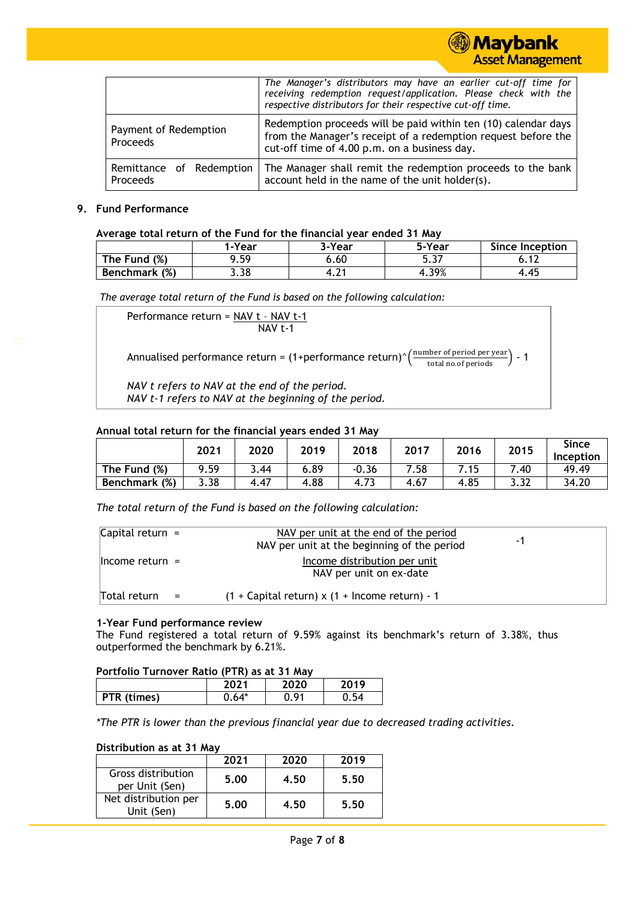|                                      | The Manager's distributors may have an earlier cut-off time for<br>receiving redemption request/application. Please check with the<br>respective distributors for their respective cut-off time. |
|--------------------------------------|--------------------------------------------------------------------------------------------------------------------------------------------------------------------------------------------------|
| Payment of Redemption<br>Proceeds    | Redemption proceeds will be paid within ten (10) calendar days<br>from the Manager's receipt of a redemption request before the<br>cut-off time of 4.00 p.m. on a business day.                  |
| Remittance of Redemption<br>Proceeds | The Manager shall remit the redemption proceeds to the bank<br>account held in the name of the unit holder(s).                                                                                   |

**Maybank** 

**Asset Management** 

#### **9. Fund Performance**

#### **Average total return of the Fund for the financial year ended 31 May**

|                         | <b>I-Year</b> | 3-Year | 5-Year     | <b>Since Inception</b> |  |  |
|-------------------------|---------------|--------|------------|------------------------|--|--|
| (%)<br>The Fund         | a 50<br>.     | 6.60   | ~-<br>J.J1 |                        |  |  |
| (%)<br><b>Benchmark</b> | 3.38          | 4.L.   | 4.39%      | 4.45                   |  |  |

*The average total return of the Fund is based on the following calculation:*

| Performance return = NAV t - NAV t-1<br>NAV t-1                                                                                                         |
|---------------------------------------------------------------------------------------------------------------------------------------------------------|
| Annualised performance return = $(1+performance return)^{\wedge} \left(\frac{\text{number of period per year}}{\text{total no. of periods}}\right) - 1$ |
| NAV t refers to NAV at the end of the period.<br>NAV t-1 refers to NAV at the beginning of the period.                                                  |

# **Annual total return for the financial years ended 31 May**

|                 | 2021 | 2020 | 2019 | 2018    | 2017 | 2016 | 2015 | <b>Since</b><br>Inception |
|-----------------|------|------|------|---------|------|------|------|---------------------------|
| The Fund<br>(%) | 9.59 | 3.44 | 6.89 | $-0.36$ | 7.58 | 7.15 | .40  | 49.49                     |
| Benchmark (%)   | 3.38 | 4.47 | 4.88 | 4.73    | 4.67 | 4.85 | 3.32 | 34.20                     |

*The total return of the Fund is based on the following calculation:*

| Capital return $=$ |               | NAV per unit at the end of the period<br>NAV per unit at the beginning of the period | - 1 |
|--------------------|---------------|--------------------------------------------------------------------------------------|-----|
| $l$ hcome return = |               | Income distribution per unit<br>NAV per unit on ex-date                              |     |
| Total return       | $\sim$ $\sim$ | $(1 +$ Capital return) x $(1 +$ Income return) - 1                                   |     |

#### **1-Year Fund performance review**

The Fund registered a total return of 9.59% against its benchmark's return of 3.38%, thus outperformed the benchmark by 6.21%.

| Portfolio Turnover Ratio (PTR) as at 31 May |         |      |      |  |  |  |
|---------------------------------------------|---------|------|------|--|--|--|
| 2020<br>2019<br>2021                        |         |      |      |  |  |  |
| <b>PTR</b> (times)                          | $0.64*$ | 0.91 | 0.54 |  |  |  |

*\*The PTR is lower than the previous financial year due to decreased trading activities.*

#### **Distribution as at 31 May**

|                                      | 2021 | 2020 | 2019 |
|--------------------------------------|------|------|------|
| Gross distribution<br>per Unit (Sen) | 5.00 | 4.50 | 5.50 |
| Net distribution per<br>Unit (Sen)   | 5.00 | 4.50 | 5.50 |